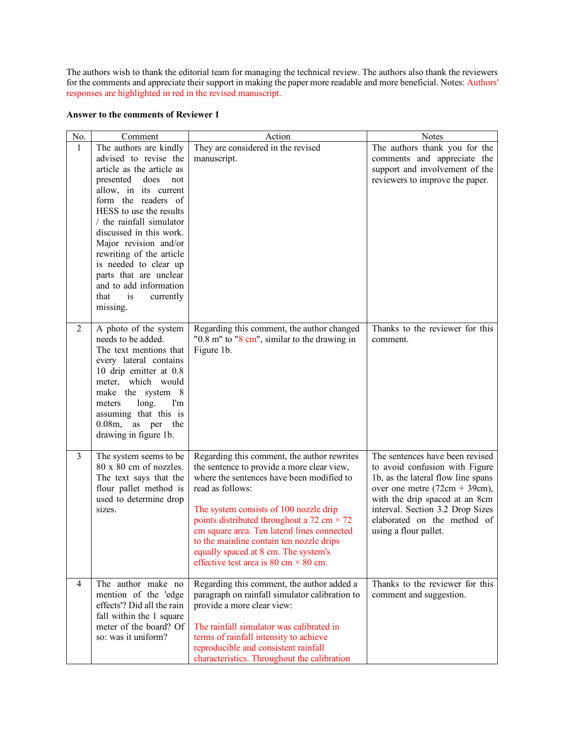The authors wish to thank the editorial team for managing the technical review. The authors also thank the reviewers for the comments and appreciate their support in making the paper more readable and more beneficial. Notes: Authors' responses are highlighted in red in the revised manuscript.

## **Answer to the comments of Reviewer 1**

| No.            | Comment                                                                                                                                                                                                                                                                                                                                                                                   | Action                                                                                                                                                                                                                                                                                                                                                                                                                                       | Notes                                                                                                                                                                                                                                                                     |
|----------------|-------------------------------------------------------------------------------------------------------------------------------------------------------------------------------------------------------------------------------------------------------------------------------------------------------------------------------------------------------------------------------------------|----------------------------------------------------------------------------------------------------------------------------------------------------------------------------------------------------------------------------------------------------------------------------------------------------------------------------------------------------------------------------------------------------------------------------------------------|---------------------------------------------------------------------------------------------------------------------------------------------------------------------------------------------------------------------------------------------------------------------------|
| $\mathbf{1}$   | The authors are kindly                                                                                                                                                                                                                                                                                                                                                                    | They are considered in the revised                                                                                                                                                                                                                                                                                                                                                                                                           | The authors thank you for the                                                                                                                                                                                                                                             |
|                | advised to revise the<br>article as the article as<br>presented<br>does<br>not<br>allow, in its current<br>form the readers of<br>HESS to use the results<br>/ the rainfall simulator<br>discussed in this work.<br>Major revision and/or<br>rewriting of the article<br>is needed to clear up<br>parts that are unclear<br>and to add information<br>that<br>is<br>currently<br>missing. | manuscript.                                                                                                                                                                                                                                                                                                                                                                                                                                  | comments and appreciate the<br>support and involvement of the<br>reviewers to improve the paper.                                                                                                                                                                          |
| $\overline{2}$ | A photo of the system<br>needs to be added.<br>The text mentions that<br>every lateral contains<br>10 drip emitter at 0.8<br>meter, which would<br>make the system 8<br>long.<br>I'm<br>meters<br>assuming that this is<br>$0.08m$ ,<br>as per the<br>drawing in figure 1b.                                                                                                               | Regarding this comment, the author changed<br>"0.8 m" to "8 cm", similar to the drawing in<br>Figure 1b.                                                                                                                                                                                                                                                                                                                                     | Thanks to the reviewer for this<br>comment.                                                                                                                                                                                                                               |
| 3              | The system seems to be<br>80 x 80 cm of nozzles.<br>The text says that the<br>flour pallet method is<br>used to determine drop<br>sizes.                                                                                                                                                                                                                                                  | Regarding this comment, the author rewrites<br>the sentence to provide a more clear view,<br>where the sentences have been modified to<br>read as follows:<br>The system consists of 100 nozzle drip<br>points distributed throughout a 72 cm $\times$ 72<br>cm square area. Ten lateral lines connected<br>to the mainline contain ten nozzle drips<br>equally spaced at 8 cm. The system's<br>effective test area is 80 cm $\times$ 80 cm. | The sentences have been revised<br>to avoid confusion with Figure<br>1b, as the lateral flow line spans<br>over one metre $(72cm + 39cm)$ ,<br>with the drip spaced at an 8cm<br>interval. Section 3.2 Drop Sizes<br>elaborated on the method of<br>using a flour pallet. |
| $\overline{4}$ | The author make no<br>mention of the 'edge<br>effects'? Did all the rain<br>fall within the 1 square<br>meter of the board? Of<br>so: was it uniform?                                                                                                                                                                                                                                     | Regarding this comment, the author added a<br>paragraph on rainfall simulator calibration to<br>provide a more clear view:<br>The rainfall simulator was calibrated in<br>terms of rainfall intensity to achieve<br>reproducible and consistent rainfall<br>characteristics. Throughout the calibration                                                                                                                                      | Thanks to the reviewer for this<br>comment and suggestion.                                                                                                                                                                                                                |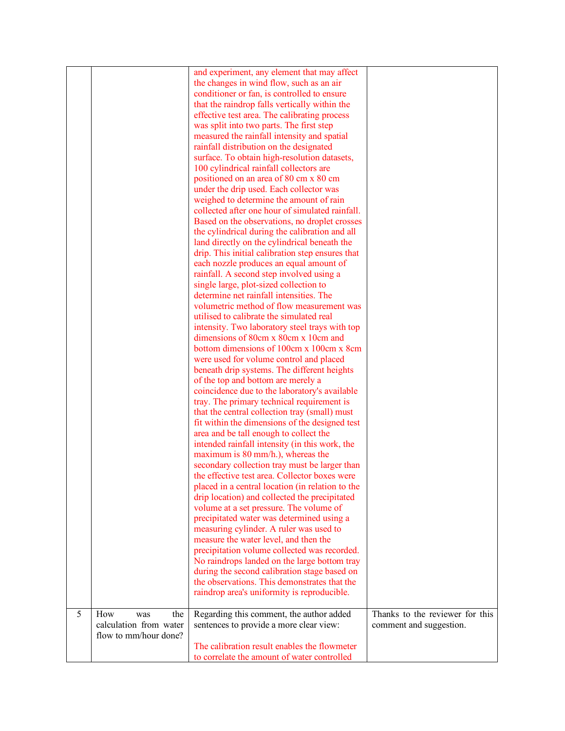|   |                        | and experiment, any element that may affect<br>the changes in wind flow, such as an air<br>conditioner or fan, is controlled to ensure<br>that the raindrop falls vertically within the<br>effective test area. The calibrating process<br>was split into two parts. The first step<br>measured the rainfall intensity and spatial<br>rainfall distribution on the designated<br>surface. To obtain high-resolution datasets,<br>100 cylindrical rainfall collectors are<br>positioned on an area of 80 cm x 80 cm<br>under the drip used. Each collector was<br>weighed to determine the amount of rain<br>collected after one hour of simulated rainfall.<br>Based on the observations, no droplet crosses<br>the cylindrical during the calibration and all<br>land directly on the cylindrical beneath the<br>drip. This initial calibration step ensures that<br>each nozzle produces an equal amount of<br>rainfall. A second step involved using a<br>single large, plot-sized collection to<br>determine net rainfall intensities. The<br>volumetric method of flow measurement was<br>utilised to calibrate the simulated real<br>intensity. Two laboratory steel trays with top<br>dimensions of 80cm x 80cm x 10cm and<br>bottom dimensions of 100cm x 100cm x 8cm<br>were used for volume control and placed<br>beneath drip systems. The different heights<br>of the top and bottom are merely a<br>coincidence due to the laboratory's available<br>tray. The primary technical requirement is<br>that the central collection tray (small) must<br>fit within the dimensions of the designed test<br>area and be tall enough to collect the<br>intended rainfall intensity (in this work, the<br>maximum is 80 mm/h.), whereas the<br>secondary collection tray must be larger than<br>the effective test area. Collector boxes were |                                 |
|---|------------------------|----------------------------------------------------------------------------------------------------------------------------------------------------------------------------------------------------------------------------------------------------------------------------------------------------------------------------------------------------------------------------------------------------------------------------------------------------------------------------------------------------------------------------------------------------------------------------------------------------------------------------------------------------------------------------------------------------------------------------------------------------------------------------------------------------------------------------------------------------------------------------------------------------------------------------------------------------------------------------------------------------------------------------------------------------------------------------------------------------------------------------------------------------------------------------------------------------------------------------------------------------------------------------------------------------------------------------------------------------------------------------------------------------------------------------------------------------------------------------------------------------------------------------------------------------------------------------------------------------------------------------------------------------------------------------------------------------------------------------------------------------------------------------------------------------------------------------------------------------|---------------------------------|
|   |                        |                                                                                                                                                                                                                                                                                                                                                                                                                                                                                                                                                                                                                                                                                                                                                                                                                                                                                                                                                                                                                                                                                                                                                                                                                                                                                                                                                                                                                                                                                                                                                                                                                                                                                                                                                                                                                                                    |                                 |
|   |                        |                                                                                                                                                                                                                                                                                                                                                                                                                                                                                                                                                                                                                                                                                                                                                                                                                                                                                                                                                                                                                                                                                                                                                                                                                                                                                                                                                                                                                                                                                                                                                                                                                                                                                                                                                                                                                                                    |                                 |
|   |                        |                                                                                                                                                                                                                                                                                                                                                                                                                                                                                                                                                                                                                                                                                                                                                                                                                                                                                                                                                                                                                                                                                                                                                                                                                                                                                                                                                                                                                                                                                                                                                                                                                                                                                                                                                                                                                                                    |                                 |
|   |                        |                                                                                                                                                                                                                                                                                                                                                                                                                                                                                                                                                                                                                                                                                                                                                                                                                                                                                                                                                                                                                                                                                                                                                                                                                                                                                                                                                                                                                                                                                                                                                                                                                                                                                                                                                                                                                                                    |                                 |
|   |                        |                                                                                                                                                                                                                                                                                                                                                                                                                                                                                                                                                                                                                                                                                                                                                                                                                                                                                                                                                                                                                                                                                                                                                                                                                                                                                                                                                                                                                                                                                                                                                                                                                                                                                                                                                                                                                                                    |                                 |
|   |                        |                                                                                                                                                                                                                                                                                                                                                                                                                                                                                                                                                                                                                                                                                                                                                                                                                                                                                                                                                                                                                                                                                                                                                                                                                                                                                                                                                                                                                                                                                                                                                                                                                                                                                                                                                                                                                                                    |                                 |
|   |                        |                                                                                                                                                                                                                                                                                                                                                                                                                                                                                                                                                                                                                                                                                                                                                                                                                                                                                                                                                                                                                                                                                                                                                                                                                                                                                                                                                                                                                                                                                                                                                                                                                                                                                                                                                                                                                                                    |                                 |
|   |                        |                                                                                                                                                                                                                                                                                                                                                                                                                                                                                                                                                                                                                                                                                                                                                                                                                                                                                                                                                                                                                                                                                                                                                                                                                                                                                                                                                                                                                                                                                                                                                                                                                                                                                                                                                                                                                                                    |                                 |
|   |                        |                                                                                                                                                                                                                                                                                                                                                                                                                                                                                                                                                                                                                                                                                                                                                                                                                                                                                                                                                                                                                                                                                                                                                                                                                                                                                                                                                                                                                                                                                                                                                                                                                                                                                                                                                                                                                                                    |                                 |
|   |                        |                                                                                                                                                                                                                                                                                                                                                                                                                                                                                                                                                                                                                                                                                                                                                                                                                                                                                                                                                                                                                                                                                                                                                                                                                                                                                                                                                                                                                                                                                                                                                                                                                                                                                                                                                                                                                                                    |                                 |
|   |                        |                                                                                                                                                                                                                                                                                                                                                                                                                                                                                                                                                                                                                                                                                                                                                                                                                                                                                                                                                                                                                                                                                                                                                                                                                                                                                                                                                                                                                                                                                                                                                                                                                                                                                                                                                                                                                                                    |                                 |
|   |                        |                                                                                                                                                                                                                                                                                                                                                                                                                                                                                                                                                                                                                                                                                                                                                                                                                                                                                                                                                                                                                                                                                                                                                                                                                                                                                                                                                                                                                                                                                                                                                                                                                                                                                                                                                                                                                                                    |                                 |
|   |                        |                                                                                                                                                                                                                                                                                                                                                                                                                                                                                                                                                                                                                                                                                                                                                                                                                                                                                                                                                                                                                                                                                                                                                                                                                                                                                                                                                                                                                                                                                                                                                                                                                                                                                                                                                                                                                                                    |                                 |
|   |                        |                                                                                                                                                                                                                                                                                                                                                                                                                                                                                                                                                                                                                                                                                                                                                                                                                                                                                                                                                                                                                                                                                                                                                                                                                                                                                                                                                                                                                                                                                                                                                                                                                                                                                                                                                                                                                                                    |                                 |
|   |                        |                                                                                                                                                                                                                                                                                                                                                                                                                                                                                                                                                                                                                                                                                                                                                                                                                                                                                                                                                                                                                                                                                                                                                                                                                                                                                                                                                                                                                                                                                                                                                                                                                                                                                                                                                                                                                                                    |                                 |
|   |                        |                                                                                                                                                                                                                                                                                                                                                                                                                                                                                                                                                                                                                                                                                                                                                                                                                                                                                                                                                                                                                                                                                                                                                                                                                                                                                                                                                                                                                                                                                                                                                                                                                                                                                                                                                                                                                                                    |                                 |
|   |                        |                                                                                                                                                                                                                                                                                                                                                                                                                                                                                                                                                                                                                                                                                                                                                                                                                                                                                                                                                                                                                                                                                                                                                                                                                                                                                                                                                                                                                                                                                                                                                                                                                                                                                                                                                                                                                                                    |                                 |
|   |                        |                                                                                                                                                                                                                                                                                                                                                                                                                                                                                                                                                                                                                                                                                                                                                                                                                                                                                                                                                                                                                                                                                                                                                                                                                                                                                                                                                                                                                                                                                                                                                                                                                                                                                                                                                                                                                                                    |                                 |
|   |                        | placed in a central location (in relation to the                                                                                                                                                                                                                                                                                                                                                                                                                                                                                                                                                                                                                                                                                                                                                                                                                                                                                                                                                                                                                                                                                                                                                                                                                                                                                                                                                                                                                                                                                                                                                                                                                                                                                                                                                                                                   |                                 |
|   |                        | drip location) and collected the precipitated                                                                                                                                                                                                                                                                                                                                                                                                                                                                                                                                                                                                                                                                                                                                                                                                                                                                                                                                                                                                                                                                                                                                                                                                                                                                                                                                                                                                                                                                                                                                                                                                                                                                                                                                                                                                      |                                 |
|   |                        | volume at a set pressure. The volume of                                                                                                                                                                                                                                                                                                                                                                                                                                                                                                                                                                                                                                                                                                                                                                                                                                                                                                                                                                                                                                                                                                                                                                                                                                                                                                                                                                                                                                                                                                                                                                                                                                                                                                                                                                                                            |                                 |
|   |                        | precipitated water was determined using a                                                                                                                                                                                                                                                                                                                                                                                                                                                                                                                                                                                                                                                                                                                                                                                                                                                                                                                                                                                                                                                                                                                                                                                                                                                                                                                                                                                                                                                                                                                                                                                                                                                                                                                                                                                                          |                                 |
|   |                        | measuring cylinder. A ruler was used to<br>measure the water level, and then the                                                                                                                                                                                                                                                                                                                                                                                                                                                                                                                                                                                                                                                                                                                                                                                                                                                                                                                                                                                                                                                                                                                                                                                                                                                                                                                                                                                                                                                                                                                                                                                                                                                                                                                                                                   |                                 |
|   |                        | precipitation volume collected was recorded.                                                                                                                                                                                                                                                                                                                                                                                                                                                                                                                                                                                                                                                                                                                                                                                                                                                                                                                                                                                                                                                                                                                                                                                                                                                                                                                                                                                                                                                                                                                                                                                                                                                                                                                                                                                                       |                                 |
|   |                        | No raindrops landed on the large bottom tray                                                                                                                                                                                                                                                                                                                                                                                                                                                                                                                                                                                                                                                                                                                                                                                                                                                                                                                                                                                                                                                                                                                                                                                                                                                                                                                                                                                                                                                                                                                                                                                                                                                                                                                                                                                                       |                                 |
|   |                        | during the second calibration stage based on                                                                                                                                                                                                                                                                                                                                                                                                                                                                                                                                                                                                                                                                                                                                                                                                                                                                                                                                                                                                                                                                                                                                                                                                                                                                                                                                                                                                                                                                                                                                                                                                                                                                                                                                                                                                       |                                 |
|   |                        | the observations. This demonstrates that the                                                                                                                                                                                                                                                                                                                                                                                                                                                                                                                                                                                                                                                                                                                                                                                                                                                                                                                                                                                                                                                                                                                                                                                                                                                                                                                                                                                                                                                                                                                                                                                                                                                                                                                                                                                                       |                                 |
|   |                        | raindrop area's uniformity is reproducible.                                                                                                                                                                                                                                                                                                                                                                                                                                                                                                                                                                                                                                                                                                                                                                                                                                                                                                                                                                                                                                                                                                                                                                                                                                                                                                                                                                                                                                                                                                                                                                                                                                                                                                                                                                                                        |                                 |
| 5 | How<br>the<br>was      | Regarding this comment, the author added                                                                                                                                                                                                                                                                                                                                                                                                                                                                                                                                                                                                                                                                                                                                                                                                                                                                                                                                                                                                                                                                                                                                                                                                                                                                                                                                                                                                                                                                                                                                                                                                                                                                                                                                                                                                           | Thanks to the reviewer for this |
|   | calculation from water | sentences to provide a more clear view:                                                                                                                                                                                                                                                                                                                                                                                                                                                                                                                                                                                                                                                                                                                                                                                                                                                                                                                                                                                                                                                                                                                                                                                                                                                                                                                                                                                                                                                                                                                                                                                                                                                                                                                                                                                                            | comment and suggestion.         |
|   | flow to mm/hour done?  |                                                                                                                                                                                                                                                                                                                                                                                                                                                                                                                                                                                                                                                                                                                                                                                                                                                                                                                                                                                                                                                                                                                                                                                                                                                                                                                                                                                                                                                                                                                                                                                                                                                                                                                                                                                                                                                    |                                 |
|   |                        | The calibration result enables the flowmeter<br>to correlate the amount of water controlled                                                                                                                                                                                                                                                                                                                                                                                                                                                                                                                                                                                                                                                                                                                                                                                                                                                                                                                                                                                                                                                                                                                                                                                                                                                                                                                                                                                                                                                                                                                                                                                                                                                                                                                                                        |                                 |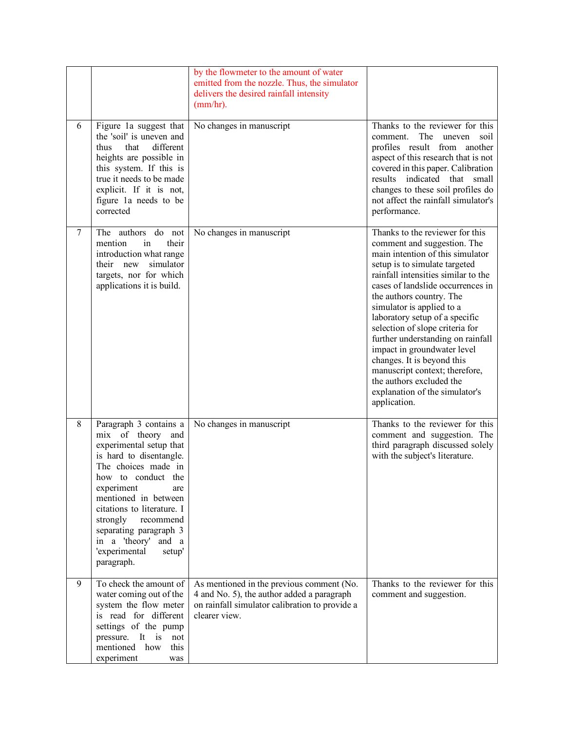| 6              | Figure 1a suggest that                                                                                                                                                                                                                                                                                                                          | by the flowmeter to the amount of water<br>emitted from the nozzle. Thus, the simulator<br>delivers the desired rainfall intensity<br>(mm/hr).<br>No changes in manuscript | Thanks to the reviewer for this                                                                                                                                                                                                                                                                                                                                                                                                                                                                                                                                 |
|----------------|-------------------------------------------------------------------------------------------------------------------------------------------------------------------------------------------------------------------------------------------------------------------------------------------------------------------------------------------------|----------------------------------------------------------------------------------------------------------------------------------------------------------------------------|-----------------------------------------------------------------------------------------------------------------------------------------------------------------------------------------------------------------------------------------------------------------------------------------------------------------------------------------------------------------------------------------------------------------------------------------------------------------------------------------------------------------------------------------------------------------|
|                | the 'soil' is uneven and<br>different<br>that<br>thus<br>heights are possible in<br>this system. If this is<br>true it needs to be made<br>explicit. If it is not,<br>figure 1a needs to be<br>corrected                                                                                                                                        |                                                                                                                                                                            | The uneven<br>comment.<br>soil<br>profiles result from another<br>aspect of this research that is not<br>covered in this paper. Calibration<br>results indicated that small<br>changes to these soil profiles do<br>not affect the rainfall simulator's<br>performance.                                                                                                                                                                                                                                                                                         |
| $\overline{7}$ | authors<br>do not<br>The<br>their<br>mention<br>in<br>introduction what range<br>simulator<br>their new<br>targets, nor for which<br>applications it is build.                                                                                                                                                                                  | No changes in manuscript                                                                                                                                                   | Thanks to the reviewer for this<br>comment and suggestion. The<br>main intention of this simulator<br>setup is to simulate targeted<br>rainfall intensities similar to the<br>cases of landslide occurrences in<br>the authors country. The<br>simulator is applied to a<br>laboratory setup of a specific<br>selection of slope criteria for<br>further understanding on rainfall<br>impact in groundwater level<br>changes. It is beyond this<br>manuscript context; therefore,<br>the authors excluded the<br>explanation of the simulator's<br>application. |
| 8              | Paragraph 3 contains a<br>mix of theory and<br>experimental setup that<br>is hard to disentangle.<br>The choices made in<br>how to conduct the<br>experiment<br>are<br>mentioned in between<br>citations to literature. I<br>strongly<br>recommend<br>separating paragraph 3<br>in a 'theory'<br>and a<br>'experimental<br>setup'<br>paragraph. | No changes in manuscript                                                                                                                                                   | Thanks to the reviewer for this<br>comment and suggestion. The<br>third paragraph discussed solely<br>with the subject's literature.                                                                                                                                                                                                                                                                                                                                                                                                                            |
| 9              | To check the amount of<br>water coming out of the<br>system the flow meter<br>is read for different<br>settings of the pump<br>pressure. It is<br>not<br>mentioned<br>how<br>this<br>experiment<br>was                                                                                                                                          | As mentioned in the previous comment (No.<br>4 and No. 5), the author added a paragraph<br>on rainfall simulator calibration to provide a<br>clearer view.                 | Thanks to the reviewer for this<br>comment and suggestion.                                                                                                                                                                                                                                                                                                                                                                                                                                                                                                      |